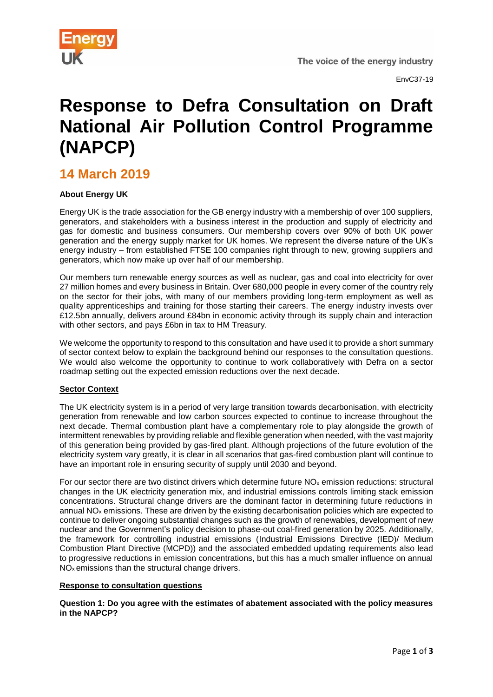

EnvC37-19

# **Response to Defra Consultation on Draft National Air Pollution Control Programme (NAPCP)**

## **14 March 2019**

### **About Energy UK**

Energy UK is the trade association for the GB energy industry with a membership of over 100 suppliers, generators, and stakeholders with a business interest in the production and supply of electricity and gas for domestic and business consumers. Our membership covers over 90% of both UK power generation and the energy supply market for UK homes. We represent the diverse nature of the UK's energy industry – from established FTSE 100 companies right through to new, growing suppliers and generators, which now make up over half of our membership.

Our members turn renewable energy sources as well as nuclear, gas and coal into electricity for over 27 million homes and every business in Britain. Over 680,000 people in every corner of the country rely on the sector for their jobs, with many of our members providing long-term employment as well as quality apprenticeships and training for those starting their careers. The energy industry invests over £12.5bn annually, delivers around £84bn in economic activity through its supply chain and interaction with other sectors, and pays £6bn in tax to HM Treasury.

We welcome the opportunity to respond to this consultation and have used it to provide a short summary of sector context below to explain the background behind our responses to the consultation questions. We would also welcome the opportunity to continue to work collaboratively with Defra on a sector roadmap setting out the expected emission reductions over the next decade.

#### **Sector Context**

The UK electricity system is in a period of very large transition towards decarbonisation, with electricity generation from renewable and low carbon sources expected to continue to increase throughout the next decade. Thermal combustion plant have a complementary role to play alongside the growth of intermittent renewables by providing reliable and flexible generation when needed, with the vast majority of this generation being provided by gas-fired plant. Although projections of the future evolution of the electricity system vary greatly, it is clear in all scenarios that gas-fired combustion plant will continue to have an important role in ensuring security of supply until 2030 and beyond.

For our sector there are two distinct drivers which determine future  $NO<sub>x</sub>$  emission reductions: structural changes in the UK electricity generation mix, and industrial emissions controls limiting stack emission concentrations. Structural change drivers are the dominant factor in determining future reductions in annual  $NO<sub>x</sub>$  emissions. These are driven by the existing decarbonisation policies which are expected to continue to deliver ongoing substantial changes such as the growth of renewables, development of new nuclear and the Government's policy decision to phase-out coal-fired generation by 2025. Additionally, the framework for controlling industrial emissions (Industrial Emissions Directive (IED)/ Medium Combustion Plant Directive (MCPD)) and the associated embedded updating requirements also lead to progressive reductions in emission concentrations, but this has a much smaller influence on annual  $NO<sub>x</sub>$  emissions than the structural change drivers.

#### **Response to consultation questions**

**Question 1: Do you agree with the estimates of abatement associated with the policy measures in the NAPCP?**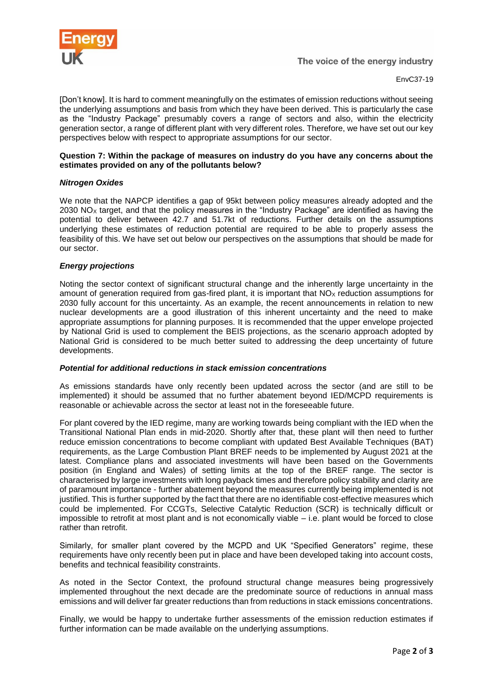

EnvC37-19

[Don't know]. It is hard to comment meaningfully on the estimates of emission reductions without seeing the underlying assumptions and basis from which they have been derived. This is particularly the case as the "Industry Package" presumably covers a range of sectors and also, within the electricity generation sector, a range of different plant with very different roles. Therefore, we have set out our key perspectives below with respect to appropriate assumptions for our sector.

#### **Question 7: Within the package of measures on industry do you have any concerns about the estimates provided on any of the pollutants below?**

#### *Nitrogen Oxides*

We note that the NAPCP identifies a gap of 95kt between policy measures already adopted and the 2030 NO<sub>x</sub> target, and that the policy measures in the "Industry Package" are identified as having the potential to deliver between 42.7 and 51.7kt of reductions. Further details on the assumptions underlying these estimates of reduction potential are required to be able to properly assess the feasibility of this. We have set out below our perspectives on the assumptions that should be made for our sector.

#### *Energy projections*

Noting the sector context of significant structural change and the inherently large uncertainty in the amount of generation required from gas-fired plant, it is important that NO<sub>x</sub> reduction assumptions for 2030 fully account for this uncertainty. As an example, the recent announcements in relation to new nuclear developments are a good illustration of this inherent uncertainty and the need to make appropriate assumptions for planning purposes. It is recommended that the upper envelope projected by National Grid is used to complement the BEIS projections, as the scenario approach adopted by National Grid is considered to be much better suited to addressing the deep uncertainty of future developments.

#### *Potential for additional reductions in stack emission concentrations*

As emissions standards have only recently been updated across the sector (and are still to be implemented) it should be assumed that no further abatement beyond IED/MCPD requirements is reasonable or achievable across the sector at least not in the foreseeable future.

For plant covered by the IED regime, many are working towards being compliant with the IED when the Transitional National Plan ends in mid-2020. Shortly after that, these plant will then need to further reduce emission concentrations to become compliant with updated Best Available Techniques (BAT) requirements, as the Large Combustion Plant BREF needs to be implemented by August 2021 at the latest. Compliance plans and associated investments will have been based on the Governments position (in England and Wales) of setting limits at the top of the BREF range. The sector is characterised by large investments with long payback times and therefore policy stability and clarity are of paramount importance - further abatement beyond the measures currently being implemented is not justified. This is further supported by the fact that there are no identifiable cost-effective measures which could be implemented. For CCGTs, Selective Catalytic Reduction (SCR) is technically difficult or impossible to retrofit at most plant and is not economically viable – i.e. plant would be forced to close rather than retrofit.

Similarly, for smaller plant covered by the MCPD and UK "Specified Generators" regime, these requirements have only recently been put in place and have been developed taking into account costs, benefits and technical feasibility constraints.

As noted in the Sector Context, the profound structural change measures being progressively implemented throughout the next decade are the predominate source of reductions in annual mass emissions and will deliver far greater reductions than from reductions in stack emissions concentrations.

Finally, we would be happy to undertake further assessments of the emission reduction estimates if further information can be made available on the underlying assumptions.